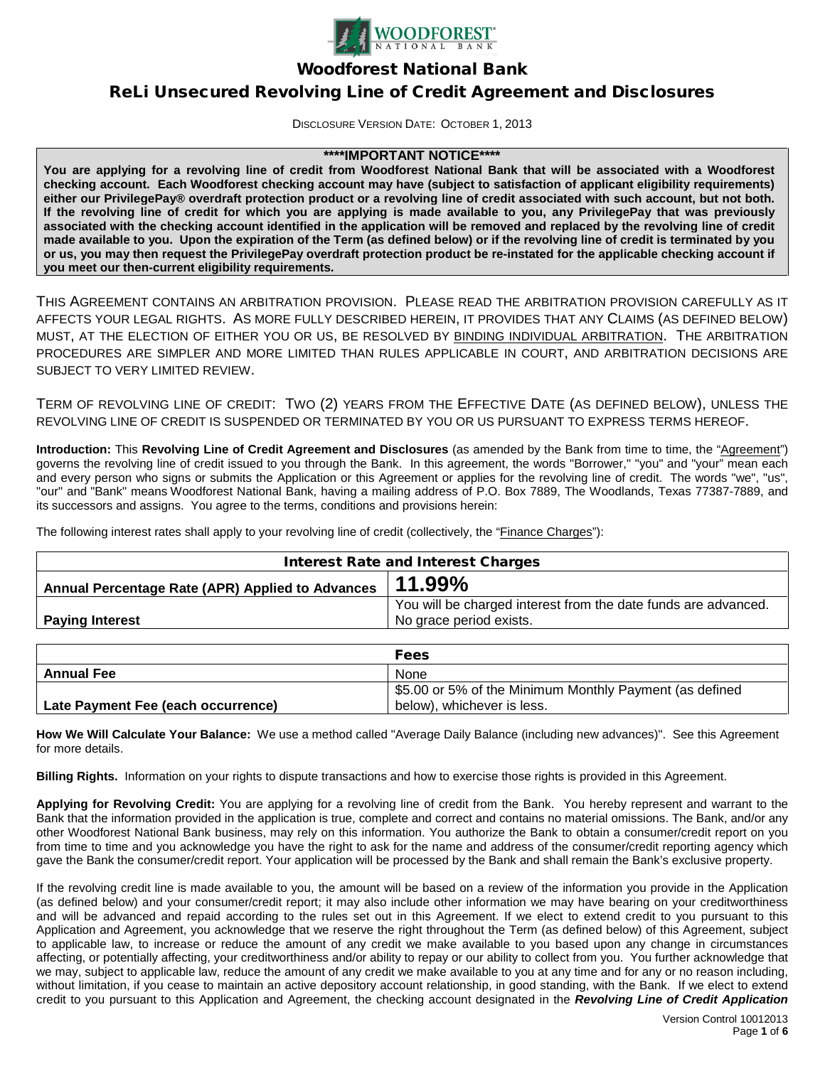

Woodforest National Bank

# ReLi Unsecured Revolving Line of Credit Agreement and Disclosures

DISCLOSURE VERSION DATE: OCTOBER 1, 2013

### **\*\*\*\*IMPORTANT NOTICE\*\*\*\***

**You are applying for a revolving line of credit from Woodforest National Bank that will be associated with a Woodforest checking account. Each Woodforest checking account may have (subject to satisfaction of applicant eligibility requirements) either our PrivilegePay® overdraft protection product or a revolving line of credit associated with such account, but not both. If the revolving line of credit for which you are applying is made available to you, any PrivilegePay that was previously associated with the checking account identified in the application will be removed and replaced by the revolving line of credit made available to you. Upon the expiration of the Term (as defined below) or if the revolving line of credit is terminated by you or us, you may then request the PrivilegePay overdraft protection product be re-instated for the applicable checking account if you meet our then-current eligibility requirements.**

THIS AGREEMENT CONTAINS AN ARBITRATION PROVISION. PLEASE READ THE ARBITRATION PROVISION CAREFULLY AS IT AFFECTS YOUR LEGAL RIGHTS. AS MORE FULLY DESCRIBED HEREIN, IT PROVIDES THAT ANY CLAIMS (AS DEFINED BELOW) MUST, AT THE ELECTION OF EITHER YOU OR US, BE RESOLVED BY BINDING INDIVIDUAL ARBITRATION. THE ARBITRATION PROCEDURES ARE SIMPLER AND MORE LIMITED THAN RULES APPLICABLE IN COURT, AND ARBITRATION DECISIONS ARE SUBJECT TO VERY LIMITED REVIEW.

TERM OF REVOLVING LINE OF CREDIT: TWO (2) YEARS FROM THE EFFECTIVE DATE (AS DEFINED BELOW), UNLESS THE REVOLVING LINE OF CREDIT IS SUSPENDED OR TERMINATED BY YOU OR US PURSUANT TO EXPRESS TERMS HEREOF.

**Introduction:** This **Revolving Line of Credit Agreement and Disclosures** (as amended by the Bank from time to time, the "Agreement") governs the revolving line of credit issued to you through the Bank. In this agreement, the words "Borrower," "you" and "your" mean each and every person who signs or submits the Application or this Agreement or applies for the revolving line of credit. The words "we", "us", "our" and "Bank" means Woodforest National Bank, having a mailing address of P.O. Box 7889, The Woodlands, Texas 77387-7889, and its successors and assigns. You agree to the terms, conditions and provisions herein:

The following interest rates shall apply to your revolving line of credit (collectively, the "Finance Charges"):

| <b>Interest Rate and Interest Charges</b>        |                                                                                           |
|--------------------------------------------------|-------------------------------------------------------------------------------------------|
| Annual Percentage Rate (APR) Applied to Advances | $11.99\%$                                                                                 |
| Paying Interest                                  | You will be charged interest from the date funds are advanced.<br>No grace period exists. |

|                                    | <b>Fees</b>                                            |
|------------------------------------|--------------------------------------------------------|
| <b>Annual Fee</b>                  | None                                                   |
|                                    | 55.00 or 5% of the Minimum Monthly Payment (as defined |
| Late Payment Fee (each occurrence) | below), whichever is less.                             |

**How We Will Calculate Your Balance:** We use a method called "Average Daily Balance (including new advances)". See this Agreement for more details.

**Billing Rights.** Information on your rights to dispute transactions and how to exercise those rights is provided in this Agreement.

**Applying for Revolving Credit:** You are applying for a revolving line of credit from the Bank. You hereby represent and warrant to the Bank that the information provided in the application is true, complete and correct and contains no material omissions. The Bank, and/or any other Woodforest National Bank business, may rely on this information. You authorize the Bank to obtain a consumer/credit report on you from time to time and you acknowledge you have the right to ask for the name and address of the consumer/credit reporting agency which gave the Bank the consumer/credit report. Your application will be processed by the Bank and shall remain the Bank's exclusive property.

If the revolving credit line is made available to you, the amount will be based on a review of the information you provide in the Application (as defined below) and your consumer/credit report; it may also include other information we may have bearing on your creditworthiness and will be advanced and repaid according to the rules set out in this Agreement. If we elect to extend credit to you pursuant to this Application and Agreement, you acknowledge that we reserve the right throughout the Term (as defined below) of this Agreement, subject to applicable law, to increase or reduce the amount of any credit we make available to you based upon any change in circumstances affecting, or potentially affecting, your creditworthiness and/or ability to repay or our ability to collect from you. You further acknowledge that we may, subject to applicable law, reduce the amount of any credit we make available to you at any time and for any or no reason including, without limitation, if you cease to maintain an active depository account relationship, in good standing, with the Bank. If we elect to extend credit to you pursuant to this Application and Agreement, the checking account designated in the *Revolving Line of Credit Application*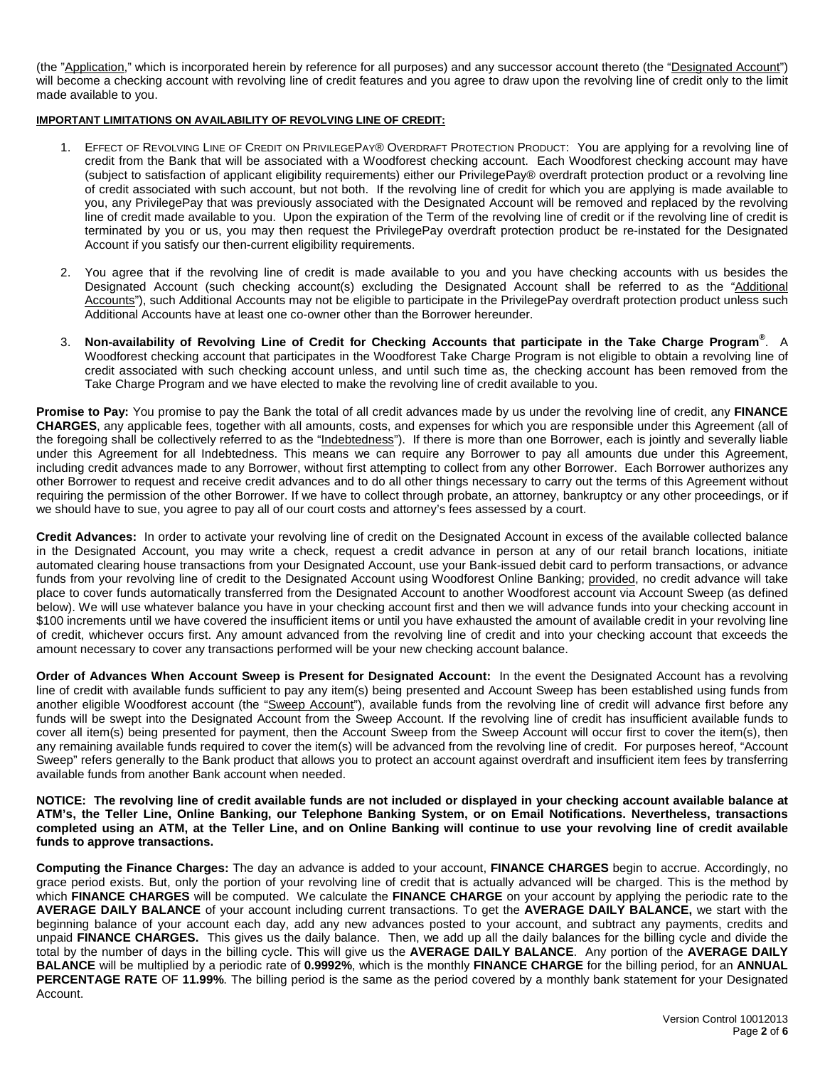(the "Application," which is incorporated herein by reference for all purposes) and any successor account thereto (the "Designated Account") will become a checking account with revolving line of credit features and you agree to draw upon the revolving line of credit only to the limit made available to you.

#### **IMPORTANT LIMITATIONS ON AVAILABILITY OF REVOLVING LINE OF CREDIT:**

- 1. EFFECT OF REVOLVING LINE OF CREDIT ON PRIVILEGEPAY® OVERDRAFT PROTECTION PRODUCT: You are applying for a revolving line of credit from the Bank that will be associated with a Woodforest checking account. Each Woodforest checking account may have (subject to satisfaction of applicant eligibility requirements) either our PrivilegePay® overdraft protection product or a revolving line of credit associated with such account, but not both. If the revolving line of credit for which you are applying is made available to you, any PrivilegePay that was previously associated with the Designated Account will be removed and replaced by the revolving line of credit made available to you. Upon the expiration of the Term of the revolving line of credit or if the revolving line of credit is terminated by you or us, you may then request the PrivilegePay overdraft protection product be re-instated for the Designated Account if you satisfy our then-current eligibility requirements.
- 2. You agree that if the revolving line of credit is made available to you and you have checking accounts with us besides the Designated Account (such checking account(s) excluding the Designated Account shall be referred to as the "Additional Accounts"), such Additional Accounts may not be eligible to participate in the PrivilegePay overdraft protection product unless such Additional Accounts have at least one co-owner other than the Borrower hereunder.
- 3. **Non-availability of Revolving Line of Credit for Checking Accounts that participate in the Take Charge Program®** . A Woodforest checking account that participates in the Woodforest Take Charge Program is not eligible to obtain a revolving line of credit associated with such checking account unless, and until such time as, the checking account has been removed from the Take Charge Program and we have elected to make the revolving line of credit available to you.

**Promise to Pay:** You promise to pay the Bank the total of all credit advances made by us under the revolving line of credit, any **FINANCE CHARGES**, any applicable fees, together with all amounts, costs, and expenses for which you are responsible under this Agreement (all of the foregoing shall be collectively referred to as the "Indebtedness"). If there is more than one Borrower, each is jointly and severally liable under this Agreement for all Indebtedness. This means we can require any Borrower to pay all amounts due under this Agreement, including credit advances made to any Borrower, without first attempting to collect from any other Borrower. Each Borrower authorizes any other Borrower to request and receive credit advances and to do all other things necessary to carry out the terms of this Agreement without requiring the permission of the other Borrower. If we have to collect through probate, an attorney, bankruptcy or any other proceedings, or if we should have to sue, you agree to pay all of our court costs and attorney's fees assessed by a court.

**Credit Advances:** In order to activate your revolving line of credit on the Designated Account in excess of the available collected balance in the Designated Account, you may write a check, request a credit advance in person at any of our retail branch locations, initiate automated clearing house transactions from your Designated Account, use your Bank-issued debit card to perform transactions, or advance funds from your revolving line of credit to the Designated Account using Woodforest Online Banking; provided, no credit advance will take place to cover funds automatically transferred from the Designated Account to another Woodforest account via Account Sweep (as defined below). We will use whatever balance you have in your checking account first and then we will advance funds into your checking account in \$100 increments until we have covered the insufficient items or until you have exhausted the amount of available credit in your revolving line of credit, whichever occurs first. Any amount advanced from the revolving line of credit and into your checking account that exceeds the amount necessary to cover any transactions performed will be your new checking account balance.

**Order of Advances When Account Sweep is Present for Designated Account:** In the event the Designated Account has a revolving line of credit with available funds sufficient to pay any item(s) being presented and Account Sweep has been established using funds from another eligible Woodforest account (the "Sweep Account"), available funds from the revolving line of credit will advance first before any funds will be swept into the Designated Account from the Sweep Account. If the revolving line of credit has insufficient available funds to cover all item(s) being presented for payment, then the Account Sweep from the Sweep Account will occur first to cover the item(s), then any remaining available funds required to cover the item(s) will be advanced from the revolving line of credit. For purposes hereof, "Account Sweep" refers generally to the Bank product that allows you to protect an account against overdraft and insufficient item fees by transferring available funds from another Bank account when needed.

**NOTICE: The revolving line of credit available funds are not included or displayed in your checking account available balance at ATM's, the Teller Line, Online Banking, our Telephone Banking System, or on Email Notifications. Nevertheless, transactions completed using an ATM, at the Teller Line, and on Online Banking will continue to use your revolving line of credit available funds to approve transactions.**

**Computing the Finance Charges:** The day an advance is added to your account, **FINANCE CHARGES** begin to accrue. Accordingly, no grace period exists. But, only the portion of your revolving line of credit that is actually advanced will be charged. This is the method by which **FINANCE CHARGES** will be computed. We calculate the **FINANCE CHARGE** on your account by applying the periodic rate to the **AVERAGE DAILY BALANCE** of your account including current transactions. To get the **AVERAGE DAILY BALANCE,** we start with the beginning balance of your account each day, add any new advances posted to your account, and subtract any payments, credits and unpaid **FINANCE CHARGES.** This gives us the daily balance. Then, we add up all the daily balances for the billing cycle and divide the total by the number of days in the billing cycle. This will give us the **AVERAGE DAILY BALANCE**. Any portion of the **AVERAGE DAILY BALANCE** will be multiplied by a periodic rate of **0.9992%**, which is the monthly **FINANCE CHARGE** for the billing period, for an **ANNUAL PERCENTAGE RATE** OF **11.99%**. The billing period is the same as the period covered by a monthly bank statement for your Designated Account.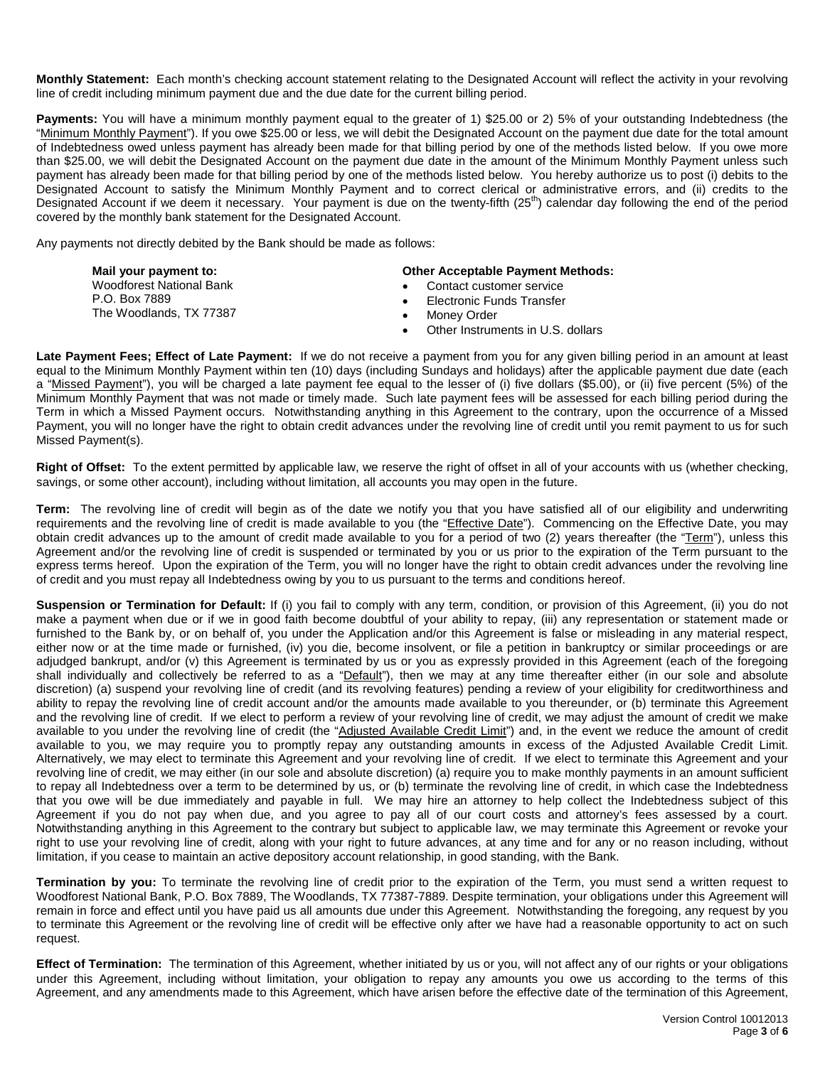**Monthly Statement:** Each month's checking account statement relating to the Designated Account will reflect the activity in your revolving line of credit including minimum payment due and the due date for the current billing period.

**Payments:** You will have a minimum monthly payment equal to the greater of 1) \$25.00 or 2) 5% of your outstanding Indebtedness (the "Minimum Monthly Payment"). If you owe \$25.00 or less, we will debit the Designated Account on the payment due date for the total amount of Indebtedness owed unless payment has already been made for that billing period by one of the methods listed below. If you owe more than \$25.00, we will debit the Designated Account on the payment due date in the amount of the Minimum Monthly Payment unless such payment has already been made for that billing period by one of the methods listed below. You hereby authorize us to post (i) debits to the Designated Account to satisfy the Minimum Monthly Payment and to correct clerical or administrative errors, and (ii) credits to the Designated Account if we deem it necessary. Your payment is due on the twenty-fifth (25<sup>th</sup>) calendar day following the end of the period covered by the monthly bank statement for the Designated Account.

Any payments not directly debited by the Bank should be made as follows:

| Mail your payment to:<br><b>Woodforest National Bank</b><br>P.O. Box 7889<br>The Woodlands, TX 77387 | <b>Other Acceptable Payment Methods:</b><br>Contact customer service<br>Electronic Funds Transfer<br>Money Order<br>Other Instruments in U.S. dollars |
|------------------------------------------------------------------------------------------------------|-------------------------------------------------------------------------------------------------------------------------------------------------------|
|------------------------------------------------------------------------------------------------------|-------------------------------------------------------------------------------------------------------------------------------------------------------|

**Late Payment Fees; Effect of Late Payment:** If we do not receive a payment from you for any given billing period in an amount at least equal to the Minimum Monthly Payment within ten (10) days (including Sundays and holidays) after the applicable payment due date (each a "Missed Payment"), you will be charged a late payment fee equal to the lesser of (i) five dollars (\$5.00), or (ii) five percent (5%) of the Minimum Monthly Payment that was not made or timely made. Such late payment fees will be assessed for each billing period during the Term in which a Missed Payment occurs. Notwithstanding anything in this Agreement to the contrary, upon the occurrence of a Missed Payment, you will no longer have the right to obtain credit advances under the revolving line of credit until you remit payment to us for such Missed Payment(s).

**Right of Offset:** To the extent permitted by applicable law, we reserve the right of offset in all of your accounts with us (whether checking, savings, or some other account), including without limitation, all accounts you may open in the future.

**Term:** The revolving line of credit will begin as of the date we notify you that you have satisfied all of our eligibility and underwriting requirements and the revolving line of credit is made available to you (the "Effective Date"). Commencing on the Effective Date, you may obtain credit advances up to the amount of credit made available to you for a period of two (2) years thereafter (the "Term"), unless this Agreement and/or the revolving line of credit is suspended or terminated by you or us prior to the expiration of the Term pursuant to the express terms hereof. Upon the expiration of the Term, you will no longer have the right to obtain credit advances under the revolving line of credit and you must repay all Indebtedness owing by you to us pursuant to the terms and conditions hereof.

**Suspension or Termination for Default:** If (i) you fail to comply with any term, condition, or provision of this Agreement, (ii) you do not make a payment when due or if we in good faith become doubtful of your ability to repay, (iii) any representation or statement made or furnished to the Bank by, or on behalf of, you under the Application and/or this Agreement is false or misleading in any material respect, either now or at the time made or furnished, (iv) you die, become insolvent, or file a petition in bankruptcy or similar proceedings or are adjudged bankrupt, and/or (v) this Agreement is terminated by us or you as expressly provided in this Agreement (each of the foregoing shall individually and collectively be referred to as a "Default"), then we may at any time thereafter either (in our sole and absolute discretion) (a) suspend your revolving line of credit (and its revolving features) pending a review of your eligibility for creditworthiness and ability to repay the revolving line of credit account and/or the amounts made available to you thereunder, or (b) terminate this Agreement and the revolving line of credit. If we elect to perform a review of your revolving line of credit, we may adjust the amount of credit we make available to you under the revolving line of credit (the "Adjusted Available Credit Limit") and, in the event we reduce the amount of credit available to you, we may require you to promptly repay any outstanding amounts in excess of the Adjusted Available Credit Limit. Alternatively, we may elect to terminate this Agreement and your revolving line of credit. If we elect to terminate this Agreement and your revolving line of credit, we may either (in our sole and absolute discretion) (a) require you to make monthly payments in an amount sufficient to repay all Indebtedness over a term to be determined by us, or (b) terminate the revolving line of credit, in which case the Indebtedness that you owe will be due immediately and payable in full. We may hire an attorney to help collect the Indebtedness subject of this Agreement if you do not pay when due, and you agree to pay all of our court costs and attorney's fees assessed by a court. Notwithstanding anything in this Agreement to the contrary but subject to applicable law, we may terminate this Agreement or revoke your right to use your revolving line of credit, along with your right to future advances, at any time and for any or no reason including, without limitation, if you cease to maintain an active depository account relationship, in good standing, with the Bank.

**Termination by you:** To terminate the revolving line of credit prior to the expiration of the Term, you must send a written request to Woodforest National Bank, P.O. Box 7889, The Woodlands, TX 77387-7889. Despite termination, your obligations under this Agreement will remain in force and effect until you have paid us all amounts due under this Agreement. Notwithstanding the foregoing, any request by you to terminate this Agreement or the revolving line of credit will be effective only after we have had a reasonable opportunity to act on such request.

**Effect of Termination:** The termination of this Agreement, whether initiated by us or you, will not affect any of our rights or your obligations under this Agreement, including without limitation, your obligation to repay any amounts you owe us according to the terms of this Agreement, and any amendments made to this Agreement, which have arisen before the effective date of the termination of this Agreement,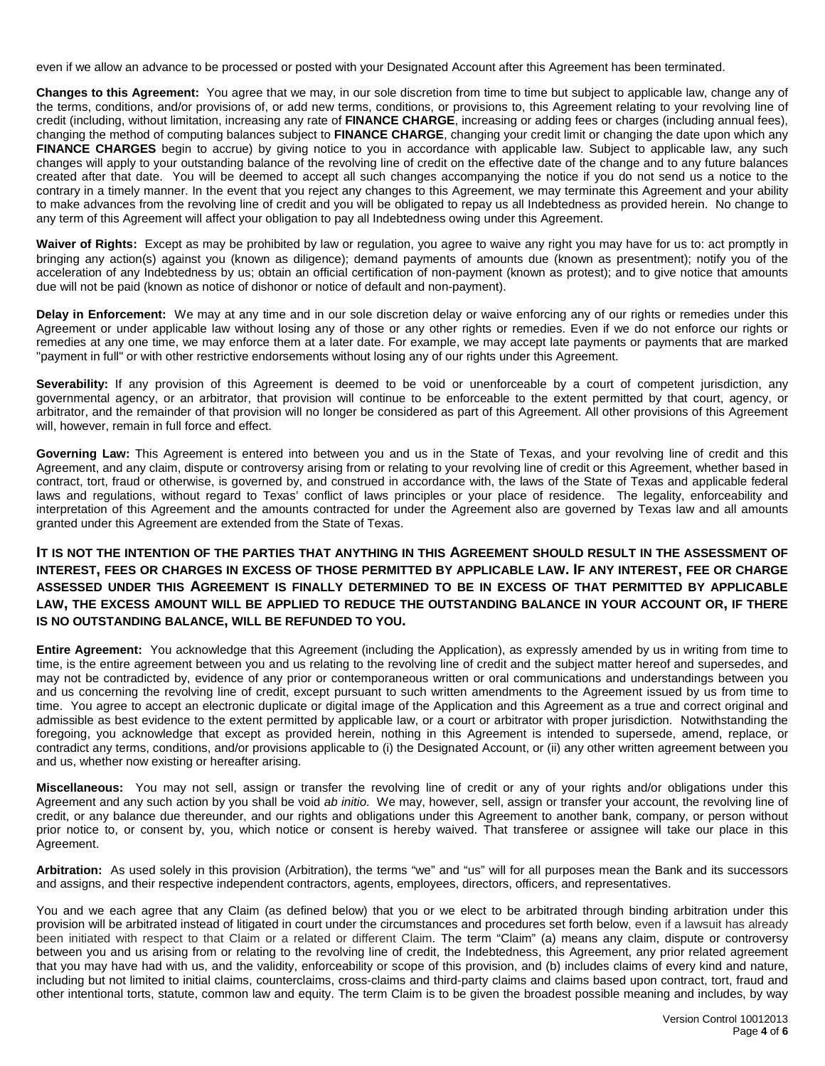even if we allow an advance to be processed or posted with your Designated Account after this Agreement has been terminated.

**Changes to this Agreement:** You agree that we may, in our sole discretion from time to time but subject to applicable law, change any of the terms, conditions, and/or provisions of, or add new terms, conditions, or provisions to, this Agreement relating to your revolving line of credit (including, without limitation, increasing any rate of **FINANCE CHARGE**, increasing or adding fees or charges (including annual fees), changing the method of computing balances subject to **FINANCE CHARGE**, changing your credit limit or changing the date upon which any FINANCE CHARGES begin to accrue) by giving notice to you in accordance with applicable law. Subject to applicable law, any such changes will apply to your outstanding balance of the revolving line of credit on the effective date of the change and to any future balances created after that date. You will be deemed to accept all such changes accompanying the notice if you do not send us a notice to the contrary in a timely manner. In the event that you reject any changes to this Agreement, we may terminate this Agreement and your ability to make advances from the revolving line of credit and you will be obligated to repay us all Indebtedness as provided herein. No change to any term of this Agreement will affect your obligation to pay all Indebtedness owing under this Agreement.

**Waiver of Rights:** Except as may be prohibited by law or regulation, you agree to waive any right you may have for us to: act promptly in bringing any action(s) against you (known as diligence); demand payments of amounts due (known as presentment); notify you of the acceleration of any Indebtedness by us; obtain an official certification of non-payment (known as protest); and to give notice that amounts due will not be paid (known as notice of dishonor or notice of default and non-payment).

**Delay in Enforcement:** We may at any time and in our sole discretion delay or waive enforcing any of our rights or remedies under this Agreement or under applicable law without losing any of those or any other rights or remedies. Even if we do not enforce our rights or remedies at any one time, we may enforce them at a later date. For example, we may accept late payments or payments that are marked "payment in full" or with other restrictive endorsements without losing any of our rights under this Agreement.

Severability: If any provision of this Agreement is deemed to be void or unenforceable by a court of competent jurisdiction, any governmental agency, or an arbitrator, that provision will continue to be enforceable to the extent permitted by that court, agency, or arbitrator, and the remainder of that provision will no longer be considered as part of this Agreement. All other provisions of this Agreement will, however, remain in full force and effect.

**Governing Law:** This Agreement is entered into between you and us in the State of Texas, and your revolving line of credit and this Agreement, and any claim, dispute or controversy arising from or relating to your revolving line of credit or this Agreement, whether based in contract, tort, fraud or otherwise, is governed by, and construed in accordance with, the laws of the State of Texas and applicable federal laws and regulations, without regard to Texas' conflict of laws principles or your place of residence. The legality, enforceability and interpretation of this Agreement and the amounts contracted for under the Agreement also are governed by Texas law and all amounts granted under this Agreement are extended from the State of Texas.

## **IT IS NOT THE INTENTION OF THE PARTIES THAT ANYTHING IN THIS AGREEMENT SHOULD RESULT IN THE ASSESSMENT OF INTEREST, FEES OR CHARGES IN EXCESS OF THOSE PERMITTED BY APPLICABLE LAW. IF ANY INTEREST, FEE OR CHARGE ASSESSED UNDER THIS AGREEMENT IS FINALLY DETERMINED TO BE IN EXCESS OF THAT PERMITTED BY APPLICABLE LAW, THE EXCESS AMOUNT WILL BE APPLIED TO REDUCE THE OUTSTANDING BALANCE IN YOUR ACCOUNT OR, IF THERE IS NO OUTSTANDING BALANCE, WILL BE REFUNDED TO YOU.**

**Entire Agreement:** You acknowledge that this Agreement (including the Application), as expressly amended by us in writing from time to time, is the entire agreement between you and us relating to the revolving line of credit and the subject matter hereof and supersedes, and may not be contradicted by, evidence of any prior or contemporaneous written or oral communications and understandings between you and us concerning the revolving line of credit, except pursuant to such written amendments to the Agreement issued by us from time to time. You agree to accept an electronic duplicate or digital image of the Application and this Agreement as a true and correct original and admissible as best evidence to the extent permitted by applicable law, or a court or arbitrator with proper jurisdiction. Notwithstanding the foregoing, you acknowledge that except as provided herein, nothing in this Agreement is intended to supersede, amend, replace, or contradict any terms, conditions, and/or provisions applicable to (i) the Designated Account, or (ii) any other written agreement between you and us, whether now existing or hereafter arising.

**Miscellaneous:** You may not sell, assign or transfer the revolving line of credit or any of your rights and/or obligations under this Agreement and any such action by you shall be void *ab initio*. We may, however, sell, assign or transfer your account, the revolving line of credit, or any balance due thereunder, and our rights and obligations under this Agreement to another bank, company, or person without prior notice to, or consent by, you, which notice or consent is hereby waived. That transferee or assignee will take our place in this Agreement.

**Arbitration:** As used solely in this provision (Arbitration), the terms "we" and "us" will for all purposes mean the Bank and its successors and assigns, and their respective independent contractors, agents, employees, directors, officers, and representatives.

You and we each agree that any Claim (as defined below) that you or we elect to be arbitrated through binding arbitration under this provision will be arbitrated instead of litigated in court under the circumstances and procedures set forth below, even if a lawsuit has already been initiated with respect to that Claim or a related or different Claim. The term "Claim" (a) means any claim, dispute or controversy between you and us arising from or relating to the revolving line of credit, the Indebtedness, this Agreement, any prior related agreement that you may have had with us, and the validity, enforceability or scope of this provision, and (b) includes claims of every kind and nature, including but not limited to initial claims, counterclaims, cross-claims and third-party claims and claims based upon contract, tort, fraud and other intentional torts, statute, common law and equity. The term Claim is to be given the broadest possible meaning and includes, by way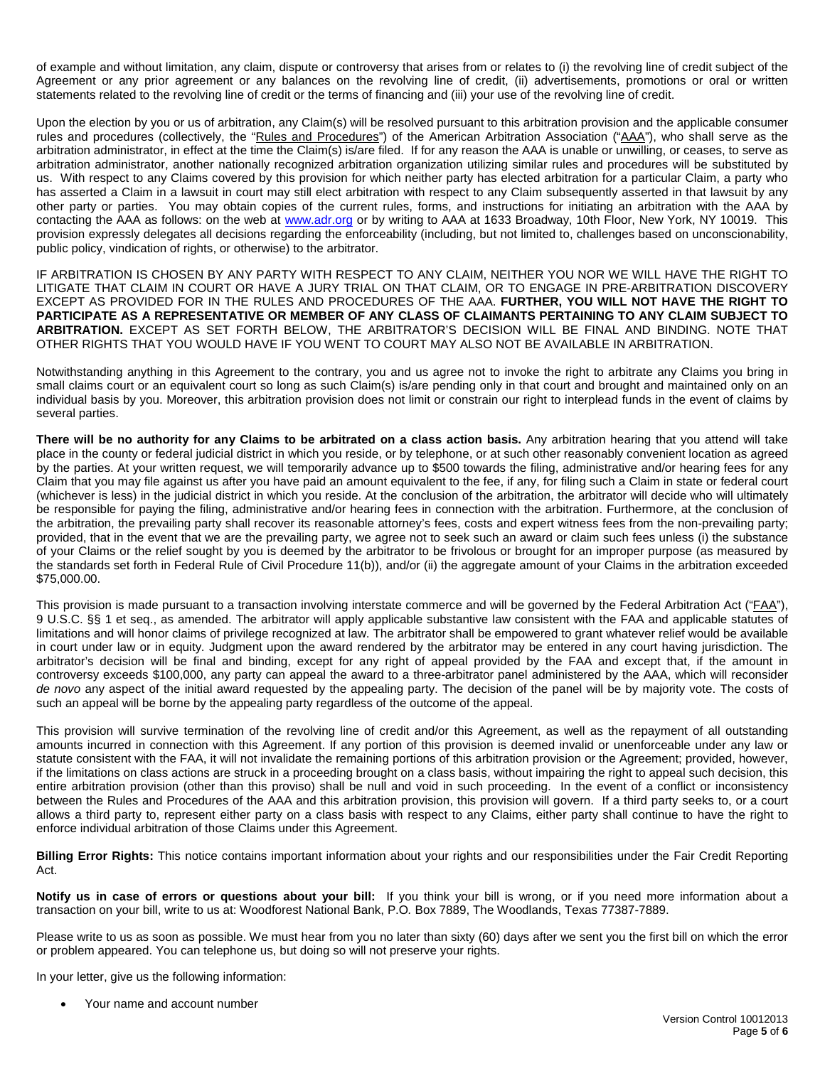of example and without limitation, any claim, dispute or controversy that arises from or relates to (i) the revolving line of credit subject of the Agreement or any prior agreement or any balances on the revolving line of credit, (ii) advertisements, promotions or oral or written statements related to the revolving line of credit or the terms of financing and (iii) your use of the revolving line of credit.

Upon the election by you or us of arbitration, any Claim(s) will be resolved pursuant to this arbitration provision and the applicable consumer rules and procedures (collectively, the "Rules and Procedures") of the American Arbitration Association ("AAA"), who shall serve as the arbitration administrator, in effect at the time the Claim(s) is/are filed. If for any reason the AAA is unable or unwilling, or ceases, to serve as arbitration administrator, another nationally recognized arbitration organization utilizing similar rules and procedures will be substituted by us. With respect to any Claims covered by this provision for which neither party has elected arbitration for a particular Claim, a party who has asserted a Claim in a lawsuit in court may still elect arbitration with respect to any Claim subsequently asserted in that lawsuit by any other party or parties. You may obtain copies of the current rules, forms, and instructions for initiating an arbitration with the AAA by contacting the AAA as follows: on the web at www.adr.org or by writing to AAA at 1633 Broadway, 10th Floor, New York, NY 10019. This provision expressly delegates all decisions regarding the enforceability (including, but not limited to, challenges based on unconscionability, public policy, vindication of rights, or otherwise) to the arbitrator.

IF ARBITRATION IS CHOSEN BY ANY PARTY WITH RESPECT TO ANY CLAIM, NEITHER YOU NOR WE WILL HAVE THE RIGHT TO LITIGATE THAT CLAIM IN COURT OR HAVE A JURY TRIAL ON THAT CLAIM, OR TO ENGAGE IN PRE-ARBITRATION DISCOVERY EXCEPT AS PROVIDED FOR IN THE RULES AND PROCEDURES OF THE AAA. **FURTHER, YOU WILL NOT HAVE THE RIGHT TO PARTICIPATE AS A REPRESENTATIVE OR MEMBER OF ANY CLASS OF CLAIMANTS PERTAINING TO ANY CLAIM SUBJECT TO ARBITRATION.** EXCEPT AS SET FORTH BELOW, THE ARBITRATOR'S DECISION WILL BE FINAL AND BINDING. NOTE THAT OTHER RIGHTS THAT YOU WOULD HAVE IF YOU WENT TO COURT MAY ALSO NOT BE AVAILABLE IN ARBITRATION.

Notwithstanding anything in this Agreement to the contrary, you and us agree not to invoke the right to arbitrate any Claims you bring in small claims court or an equivalent court so long as such Claim(s) is/are pending only in that court and brought and maintained only on an individual basis by you. Moreover, this arbitration provision does not limit or constrain our right to interplead funds in the event of claims by several parties.

**There will be no authority for any Claims to be arbitrated on a class action basis.** Any arbitration hearing that you attend will take place in the county or federal judicial district in which you reside, or by telephone, or at such other reasonably convenient location as agreed by the parties. At your written request, we will temporarily advance up to \$500 towards the filing, administrative and/or hearing fees for any Claim that you may file against us after you have paid an amount equivalent to the fee, if any, for filing such a Claim in state or federal court (whichever is less) in the judicial district in which you reside. At the conclusion of the arbitration, the arbitrator will decide who will ultimately be responsible for paying the filing, administrative and/or hearing fees in connection with the arbitration. Furthermore, at the conclusion of the arbitration, the prevailing party shall recover its reasonable attorney's fees, costs and expert witness fees from the non-prevailing party; provided, that in the event that we are the prevailing party, we agree not to seek such an award or claim such fees unless (i) the substance of your Claims or the relief sought by you is deemed by the arbitrator to be frivolous or brought for an improper purpose (as measured by the standards set forth in Federal Rule of Civil Procedure 11(b)), and/or (ii) the aggregate amount of your Claims in the arbitration exceeded \$75,000.00.

This provision is made pursuant to a transaction involving interstate commerce and will be governed by the Federal Arbitration Act ("FAA"), 9 U.S.C. §§ 1 et seq., as amended. The arbitrator will apply applicable substantive law consistent with the FAA and applicable statutes of limitations and will honor claims of privilege recognized at law. The arbitrator shall be empowered to grant whatever relief would be available in court under law or in equity. Judgment upon the award rendered by the arbitrator may be entered in any court having jurisdiction. The arbitrator's decision will be final and binding, except for any right of appeal provided by the FAA and except that, if the amount in controversy exceeds \$100,000, any party can appeal the award to a three-arbitrator panel administered by the AAA, which will reconsider *de novo* any aspect of the initial award requested by the appealing party. The decision of the panel will be by majority vote. The costs of such an appeal will be borne by the appealing party regardless of the outcome of the appeal.

This provision will survive termination of the revolving line of credit and/or this Agreement, as well as the repayment of all outstanding amounts incurred in connection with this Agreement. If any portion of this provision is deemed invalid or unenforceable under any law or statute consistent with the FAA, it will not invalidate the remaining portions of this arbitration provision or the Agreement; provided, however, if the limitations on class actions are struck in a proceeding brought on a class basis, without impairing the right to appeal such decision, this entire arbitration provision (other than this proviso) shall be null and void in such proceeding. In the event of a conflict or inconsistency between the Rules and Procedures of the AAA and this arbitration provision, this provision will govern. If a third party seeks to, or a court allows a third party to, represent either party on a class basis with respect to any Claims, either party shall continue to have the right to enforce individual arbitration of those Claims under this Agreement.

**Billing Error Rights:** This notice contains important information about your rights and our responsibilities under the Fair Credit Reporting Act.

**Notify us in case of errors or questions about your bill:** If you think your bill is wrong, or if you need more information about a transaction on your bill, write to us at: Woodforest National Bank, P.O*.* Box 7889, The Woodlands, Texas 77387-7889.

Please write to us as soon as possible. We must hear from you no later than sixty (60) days after we sent you the first bill on which the error or problem appeared. You can telephone us, but doing so will not preserve your rights.

In your letter, give us the following information:

• Your name and account number